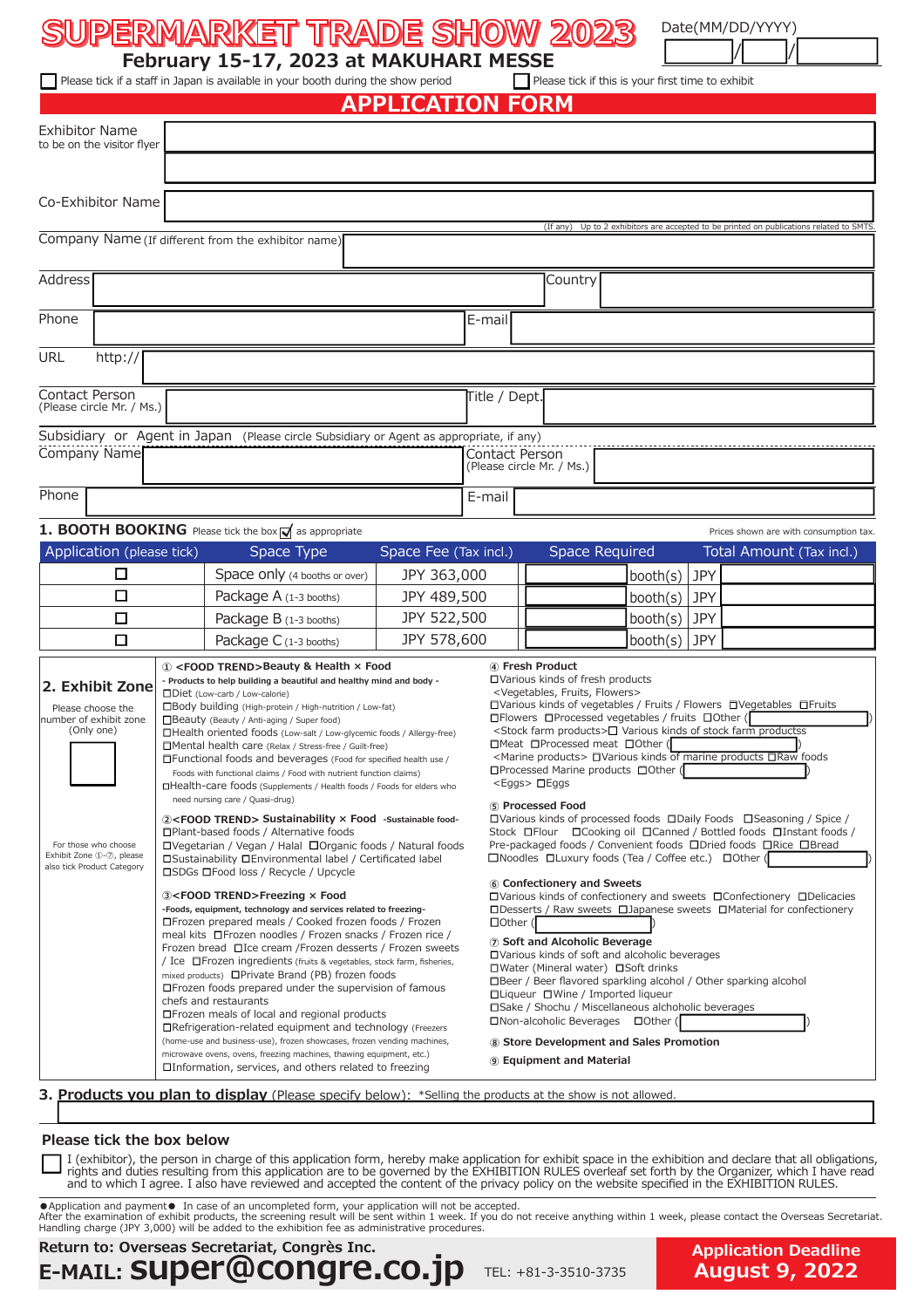# **SUPERMARKET TRADE SHOW 2023 SUPERMARKET TRADE SHOW 2023** / /

Date(MM/DD/YYYY)

**February 15-17, 2023 at MAKUHARI MESSE**<br>Fa staff in Japan is available in your booth during the show period  $\Box$  Please tick if this is your first time to exhibit  $\Box$  Please tick if a staff in Japan is available in your booth during the show period

# **APPLICATION FORM**

| Exhibitor Name<br>to be on the visitor flyer<br>(If any)<br>Up to 2 exhibitors are accepted to be printed on publications related to SMTS<br>Company Name (If different from the exhibitor name)<br>Country<br>E-mail<br>URL<br>http://<br>Contact Person<br>Title / Dept.                                                                                                                                                                                                                                                                                                                                                                                                                                                                                                                                                                                                                                                                                                                                                                                                                                                                                                                                                                                                                                                                                                                                                                                                                                                                                                                                                                                                                                                                                                                                                                                                                                                                                                                                                                                                                                                                                                                                                                                                                                                                                                                                                                                                                                                                                                                                                                                                                                                                                                                                                                                                                                                                                                                                                                                                                                                                                                                                                                                                                                                                                                                                                                                                                                                                                                                                                                                                                                                                                                                                                                                                   |  |
|------------------------------------------------------------------------------------------------------------------------------------------------------------------------------------------------------------------------------------------------------------------------------------------------------------------------------------------------------------------------------------------------------------------------------------------------------------------------------------------------------------------------------------------------------------------------------------------------------------------------------------------------------------------------------------------------------------------------------------------------------------------------------------------------------------------------------------------------------------------------------------------------------------------------------------------------------------------------------------------------------------------------------------------------------------------------------------------------------------------------------------------------------------------------------------------------------------------------------------------------------------------------------------------------------------------------------------------------------------------------------------------------------------------------------------------------------------------------------------------------------------------------------------------------------------------------------------------------------------------------------------------------------------------------------------------------------------------------------------------------------------------------------------------------------------------------------------------------------------------------------------------------------------------------------------------------------------------------------------------------------------------------------------------------------------------------------------------------------------------------------------------------------------------------------------------------------------------------------------------------------------------------------------------------------------------------------------------------------------------------------------------------------------------------------------------------------------------------------------------------------------------------------------------------------------------------------------------------------------------------------------------------------------------------------------------------------------------------------------------------------------------------------------------------------------------------------------------------------------------------------------------------------------------------------------------------------------------------------------------------------------------------------------------------------------------------------------------------------------------------------------------------------------------------------------------------------------------------------------------------------------------------------------------------------------------------------------------------------------------------------------------------------------------------------------------------------------------------------------------------------------------------------------------------------------------------------------------------------------------------------------------------------------------------------------------------------------------------------------------------------------------------------------------------------------------------------------------------------------------------------|--|
| Co-Exhibitor Name<br>Address<br>Phone                                                                                                                                                                                                                                                                                                                                                                                                                                                                                                                                                                                                                                                                                                                                                                                                                                                                                                                                                                                                                                                                                                                                                                                                                                                                                                                                                                                                                                                                                                                                                                                                                                                                                                                                                                                                                                                                                                                                                                                                                                                                                                                                                                                                                                                                                                                                                                                                                                                                                                                                                                                                                                                                                                                                                                                                                                                                                                                                                                                                                                                                                                                                                                                                                                                                                                                                                                                                                                                                                                                                                                                                                                                                                                                                                                                                                                        |  |
|                                                                                                                                                                                                                                                                                                                                                                                                                                                                                                                                                                                                                                                                                                                                                                                                                                                                                                                                                                                                                                                                                                                                                                                                                                                                                                                                                                                                                                                                                                                                                                                                                                                                                                                                                                                                                                                                                                                                                                                                                                                                                                                                                                                                                                                                                                                                                                                                                                                                                                                                                                                                                                                                                                                                                                                                                                                                                                                                                                                                                                                                                                                                                                                                                                                                                                                                                                                                                                                                                                                                                                                                                                                                                                                                                                                                                                                                              |  |
|                                                                                                                                                                                                                                                                                                                                                                                                                                                                                                                                                                                                                                                                                                                                                                                                                                                                                                                                                                                                                                                                                                                                                                                                                                                                                                                                                                                                                                                                                                                                                                                                                                                                                                                                                                                                                                                                                                                                                                                                                                                                                                                                                                                                                                                                                                                                                                                                                                                                                                                                                                                                                                                                                                                                                                                                                                                                                                                                                                                                                                                                                                                                                                                                                                                                                                                                                                                                                                                                                                                                                                                                                                                                                                                                                                                                                                                                              |  |
|                                                                                                                                                                                                                                                                                                                                                                                                                                                                                                                                                                                                                                                                                                                                                                                                                                                                                                                                                                                                                                                                                                                                                                                                                                                                                                                                                                                                                                                                                                                                                                                                                                                                                                                                                                                                                                                                                                                                                                                                                                                                                                                                                                                                                                                                                                                                                                                                                                                                                                                                                                                                                                                                                                                                                                                                                                                                                                                                                                                                                                                                                                                                                                                                                                                                                                                                                                                                                                                                                                                                                                                                                                                                                                                                                                                                                                                                              |  |
|                                                                                                                                                                                                                                                                                                                                                                                                                                                                                                                                                                                                                                                                                                                                                                                                                                                                                                                                                                                                                                                                                                                                                                                                                                                                                                                                                                                                                                                                                                                                                                                                                                                                                                                                                                                                                                                                                                                                                                                                                                                                                                                                                                                                                                                                                                                                                                                                                                                                                                                                                                                                                                                                                                                                                                                                                                                                                                                                                                                                                                                                                                                                                                                                                                                                                                                                                                                                                                                                                                                                                                                                                                                                                                                                                                                                                                                                              |  |
|                                                                                                                                                                                                                                                                                                                                                                                                                                                                                                                                                                                                                                                                                                                                                                                                                                                                                                                                                                                                                                                                                                                                                                                                                                                                                                                                                                                                                                                                                                                                                                                                                                                                                                                                                                                                                                                                                                                                                                                                                                                                                                                                                                                                                                                                                                                                                                                                                                                                                                                                                                                                                                                                                                                                                                                                                                                                                                                                                                                                                                                                                                                                                                                                                                                                                                                                                                                                                                                                                                                                                                                                                                                                                                                                                                                                                                                                              |  |
|                                                                                                                                                                                                                                                                                                                                                                                                                                                                                                                                                                                                                                                                                                                                                                                                                                                                                                                                                                                                                                                                                                                                                                                                                                                                                                                                                                                                                                                                                                                                                                                                                                                                                                                                                                                                                                                                                                                                                                                                                                                                                                                                                                                                                                                                                                                                                                                                                                                                                                                                                                                                                                                                                                                                                                                                                                                                                                                                                                                                                                                                                                                                                                                                                                                                                                                                                                                                                                                                                                                                                                                                                                                                                                                                                                                                                                                                              |  |
|                                                                                                                                                                                                                                                                                                                                                                                                                                                                                                                                                                                                                                                                                                                                                                                                                                                                                                                                                                                                                                                                                                                                                                                                                                                                                                                                                                                                                                                                                                                                                                                                                                                                                                                                                                                                                                                                                                                                                                                                                                                                                                                                                                                                                                                                                                                                                                                                                                                                                                                                                                                                                                                                                                                                                                                                                                                                                                                                                                                                                                                                                                                                                                                                                                                                                                                                                                                                                                                                                                                                                                                                                                                                                                                                                                                                                                                                              |  |
| (Please circle Mr. / Ms.)                                                                                                                                                                                                                                                                                                                                                                                                                                                                                                                                                                                                                                                                                                                                                                                                                                                                                                                                                                                                                                                                                                                                                                                                                                                                                                                                                                                                                                                                                                                                                                                                                                                                                                                                                                                                                                                                                                                                                                                                                                                                                                                                                                                                                                                                                                                                                                                                                                                                                                                                                                                                                                                                                                                                                                                                                                                                                                                                                                                                                                                                                                                                                                                                                                                                                                                                                                                                                                                                                                                                                                                                                                                                                                                                                                                                                                                    |  |
| Subsidiary or Agent in Japan (Please circle Subsidiary or Agent as appropriate, if any)                                                                                                                                                                                                                                                                                                                                                                                                                                                                                                                                                                                                                                                                                                                                                                                                                                                                                                                                                                                                                                                                                                                                                                                                                                                                                                                                                                                                                                                                                                                                                                                                                                                                                                                                                                                                                                                                                                                                                                                                                                                                                                                                                                                                                                                                                                                                                                                                                                                                                                                                                                                                                                                                                                                                                                                                                                                                                                                                                                                                                                                                                                                                                                                                                                                                                                                                                                                                                                                                                                                                                                                                                                                                                                                                                                                      |  |
| Company Name<br>Contact Person<br>(Please circle Mr. / Ms.)                                                                                                                                                                                                                                                                                                                                                                                                                                                                                                                                                                                                                                                                                                                                                                                                                                                                                                                                                                                                                                                                                                                                                                                                                                                                                                                                                                                                                                                                                                                                                                                                                                                                                                                                                                                                                                                                                                                                                                                                                                                                                                                                                                                                                                                                                                                                                                                                                                                                                                                                                                                                                                                                                                                                                                                                                                                                                                                                                                                                                                                                                                                                                                                                                                                                                                                                                                                                                                                                                                                                                                                                                                                                                                                                                                                                                  |  |
| Phone<br>E-mail                                                                                                                                                                                                                                                                                                                                                                                                                                                                                                                                                                                                                                                                                                                                                                                                                                                                                                                                                                                                                                                                                                                                                                                                                                                                                                                                                                                                                                                                                                                                                                                                                                                                                                                                                                                                                                                                                                                                                                                                                                                                                                                                                                                                                                                                                                                                                                                                                                                                                                                                                                                                                                                                                                                                                                                                                                                                                                                                                                                                                                                                                                                                                                                                                                                                                                                                                                                                                                                                                                                                                                                                                                                                                                                                                                                                                                                              |  |
| 1. BOOTH BOOKING Please tick the box of as appropriate<br>Prices shown are with consumption tax                                                                                                                                                                                                                                                                                                                                                                                                                                                                                                                                                                                                                                                                                                                                                                                                                                                                                                                                                                                                                                                                                                                                                                                                                                                                                                                                                                                                                                                                                                                                                                                                                                                                                                                                                                                                                                                                                                                                                                                                                                                                                                                                                                                                                                                                                                                                                                                                                                                                                                                                                                                                                                                                                                                                                                                                                                                                                                                                                                                                                                                                                                                                                                                                                                                                                                                                                                                                                                                                                                                                                                                                                                                                                                                                                                              |  |
| Application (please tick)<br><b>Space Required</b><br>Space Fee (Tax incl.)<br>Total Amount (Tax incl.)<br>Space Type                                                                                                                                                                                                                                                                                                                                                                                                                                                                                                                                                                                                                                                                                                                                                                                                                                                                                                                                                                                                                                                                                                                                                                                                                                                                                                                                                                                                                                                                                                                                                                                                                                                                                                                                                                                                                                                                                                                                                                                                                                                                                                                                                                                                                                                                                                                                                                                                                                                                                                                                                                                                                                                                                                                                                                                                                                                                                                                                                                                                                                                                                                                                                                                                                                                                                                                                                                                                                                                                                                                                                                                                                                                                                                                                                        |  |
| □<br>$\text{booth(s)}$ JPY<br>Space only (4 booths or over)<br>JPY 363,000                                                                                                                                                                                                                                                                                                                                                                                                                                                                                                                                                                                                                                                                                                                                                                                                                                                                                                                                                                                                                                                                                                                                                                                                                                                                                                                                                                                                                                                                                                                                                                                                                                                                                                                                                                                                                                                                                                                                                                                                                                                                                                                                                                                                                                                                                                                                                                                                                                                                                                                                                                                                                                                                                                                                                                                                                                                                                                                                                                                                                                                                                                                                                                                                                                                                                                                                                                                                                                                                                                                                                                                                                                                                                                                                                                                                   |  |
| □<br>Package A (1-3 booths)<br>JPY 489,500<br>booth(s)<br>JPY                                                                                                                                                                                                                                                                                                                                                                                                                                                                                                                                                                                                                                                                                                                                                                                                                                                                                                                                                                                                                                                                                                                                                                                                                                                                                                                                                                                                                                                                                                                                                                                                                                                                                                                                                                                                                                                                                                                                                                                                                                                                                                                                                                                                                                                                                                                                                                                                                                                                                                                                                                                                                                                                                                                                                                                                                                                                                                                                                                                                                                                                                                                                                                                                                                                                                                                                                                                                                                                                                                                                                                                                                                                                                                                                                                                                                |  |
| □<br>Package B (1-3 booths)<br>JPY 522,500<br>booth(s)<br>JPY                                                                                                                                                                                                                                                                                                                                                                                                                                                                                                                                                                                                                                                                                                                                                                                                                                                                                                                                                                                                                                                                                                                                                                                                                                                                                                                                                                                                                                                                                                                                                                                                                                                                                                                                                                                                                                                                                                                                                                                                                                                                                                                                                                                                                                                                                                                                                                                                                                                                                                                                                                                                                                                                                                                                                                                                                                                                                                                                                                                                                                                                                                                                                                                                                                                                                                                                                                                                                                                                                                                                                                                                                                                                                                                                                                                                                |  |
| $\Box$<br>JPY 578,600<br><b>JPY</b><br>booth(s)<br>Package $C$ (1-3 booths)                                                                                                                                                                                                                                                                                                                                                                                                                                                                                                                                                                                                                                                                                                                                                                                                                                                                                                                                                                                                                                                                                                                                                                                                                                                                                                                                                                                                                                                                                                                                                                                                                                                                                                                                                                                                                                                                                                                                                                                                                                                                                                                                                                                                                                                                                                                                                                                                                                                                                                                                                                                                                                                                                                                                                                                                                                                                                                                                                                                                                                                                                                                                                                                                                                                                                                                                                                                                                                                                                                                                                                                                                                                                                                                                                                                                  |  |
| 4) Fresh Product<br>1 <food trend="">Beauty &amp; Health × Food<br/>□Various kinds of fresh products<br/>- Products to help building a beautiful and healthy mind and body -<br/>2. Exhibit Zone<br/><vegetables, flowers="" fruits,=""><br/>□Diet (Low-carb / Low-calorie)<br/>□Various kinds of vegetables / Fruits / Flowers □Vegetables □Fruits<br/>□Body building (High-protein / High-nutrition / Low-fat)<br/>Please choose the<br/>□ Flowers □ Processed vegetables / fruits □ Other (<br/>number of exhibit zone<br/>Beauty (Beauty / Anti-aging / Super food)<br/><stock farm="" products=""><math>\square</math> Various kinds of stock farm productss<br/>(Only one)<br/>□Health oriented foods (Low-salt / Low-glycemic foods / Allergy-free)<br/><math>\Box</math>Meat <math>\Box</math>Processed meat <math>\Box</math>Other (<br/>□Mental health care (Relax / Stress-free / Guilt-free)<br/><marine products=""> □Various kinds of marine products □Raw foods<br/>□ Functional foods and beverages (Food for specified health use /<br/>□Processed Marine products □Other (<br/>Foods with functional claims / Food with nutrient function claims)<br/><eggs> 口Eggs<br/>□Health-care foods (Supplements / Health foods / Foods for elders who<br/>need nursing care / Quasi-drug)<br/>5 Processed Food<br/><math>\Box</math>Various kinds of processed foods <math>\Box</math>Daily Foods <math>\Box</math>Seasoning / Spice /<br/>2<food trend=""> Sustainability × Food -Sustainable food-<br/>□Plant-based foods / Alternative foods<br/>Stock DFlour DCooking oil DCanned / Bottled foods DInstant foods /<br/>Pre-packaged foods / Convenient foods □Dried foods □Rice □Bread<br/>□Vegetarian / Vegan / Halal □Organic foods / Natural foods<br/>For those who choose<br/>Exhibit Zone 1-2, please<br/><math>\square</math> Noodles <math>\square</math> Luxury foods (Tea / Coffee etc.) <math>\square</math> Other (<br/>□Sustainability □Environmental label / Certificated label<br/>also tick Product Category<br/>□SDGs □Food loss / Recycle / Upcycle<br/>6 Confectionery and Sweets<br/>3<food trend="">Freezing × Food<br/><math>\Box</math>Various kinds of confectionery and sweets <math>\Box</math>Confectionery <math>\Box</math>Delicacies<br/><math>\Box</math>Desserts / Raw sweets <math>\Box</math>Japanese sweets <math>\Box</math>Material for confectionery<br/>-Foods, equipment, technology and services related to freezing-<br/>□ Frozen prepared meals / Cooked frozen foods / Frozen<br/><math>\Box</math>Other (<br/>meal kits □ Frozen noodles / Frozen snacks / Frozen rice /<br/>(7) Soft and Alcoholic Beverage<br/>Frozen bread □ Ice cream / Frozen desserts / Frozen sweets<br/>□Various kinds of soft and alcoholic beverages<br/>/ Ice □Frozen ingredients (fruits &amp; vegetables, stock farm, fisheries,<br/>□Water (Mineral water) □Soft drinks<br/>mixed products) □ Private Brand (PB) frozen foods<br/>□Beer / Beer flavored sparkling alcohol / Other sparking alcohol<br/>□ Frozen foods prepared under the supervision of famous<br/>□Liqueur □Wine / Imported liqueur<br/>chefs and restaurants<br/>□Sake / Shochu / Miscellaneous alchoholic beverages<br/>□ Frozen meals of local and regional products<br/>□Non-alcoholic Beverages □Other (<br/>□Refrigeration-related equipment and technology (Freezers<br/>(home-use and business-use), frozen showcases, frozen vending machines,<br/>8 Store Development and Sales Promotion<br/>microwave ovens, ovens, freezing machines, thawing equipment, etc.)<br/><b>9 Equipment and Material</b><br/><math>\Box</math>Information, services, and others related to freezing<br/>3. Products you plan to display (Please specify below): *Selling the products at the show is not allowed.</food></food></eggs></marine></stock></vegetables,></food> |  |

### **Please tick the box below**

I (exhibitor), the person in charge of this application form, hereby make application for exhibit space in the exhibition and declare that all obligations, rights and duties resulting from this application are to be governed by the EXHIBITION RULES overleaf set forth by the Organizer, which I have read and to which I agree. I also have reviewed and accepted the content of the privacy policy on the website specified in the EXHIBITION RULES.

●Application and payment● In case of an uncompleted form, your application will not be accepted.<br>After the examination of exhibit products, the screening result will be sent within 1 week, please contact the overseas secr

## **Return to: Overseas Secretariat, Congrès Inc. E-MAIL: super@congre.co.jp**

TEL: +81-3-3510-3735

**Application Deadline August 9, 2022**